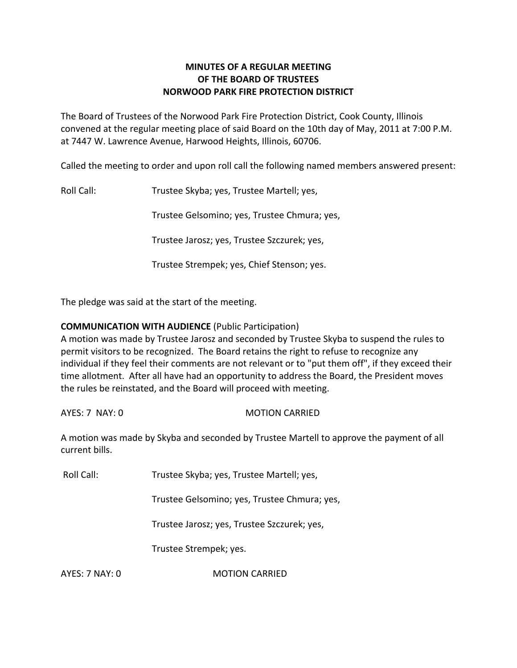# **MINUTES OF A REGULAR MEETING OF THE BOARD OF TRUSTEES NORWOOD PARK FIRE PROTECTION DISTRICT**

The Board of Trustees of the Norwood Park Fire Protection District, Cook County, Illinois convened at the regular meeting place of said Board on the 10th day of May, 2011 at 7:00 P.M. at 7447 W. Lawrence Avenue, Harwood Heights, Illinois, 60706.

Called the meeting to order and upon roll call the following named members answered present:

Roll Call: Trustee Skyba; yes, Trustee Martell; yes,

Trustee Gelsomino; yes, Trustee Chmura; yes,

Trustee Jarosz; yes, Trustee Szczurek; yes,

Trustee Strempek; yes, Chief Stenson; yes.

The pledge was said at the start of the meeting.

## **COMMUNICATION WITH AUDIENCE** (Public Participation)

A motion was made by Trustee Jarosz and seconded by Trustee Skyba to suspend the rules to permit visitors to be recognized. The Board retains the right to refuse to recognize any individual if they feel their comments are not relevant or to "put them off", if they exceed their time allotment. After all have had an opportunity to address the Board, the President moves the rules be reinstated, and the Board will proceed with meeting.

AYES: 7 NAY: 0 MOTION CARRIED

A motion was made by Skyba and seconded by Trustee Martell to approve the payment of all current bills.

Roll Call: Trustee Skyba; yes, Trustee Martell; yes,

Trustee Gelsomino; yes, Trustee Chmura; yes,

Trustee Jarosz; yes, Trustee Szczurek; yes,

Trustee Strempek; yes.

AYES: 7 NAY: 0 **MOTION CARRIED**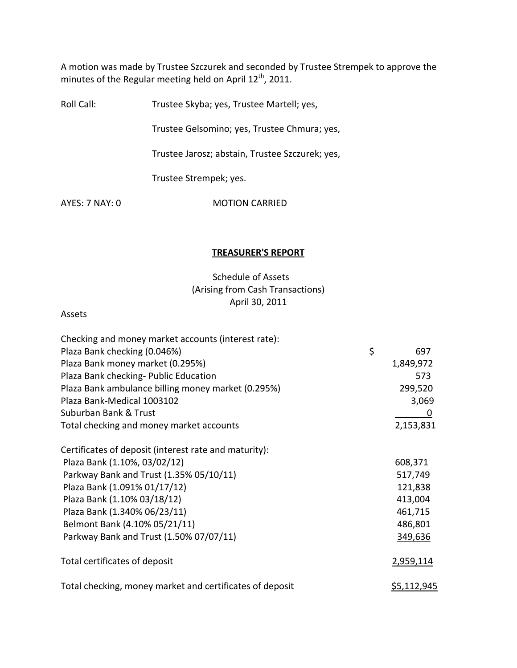A motion was made by Trustee Szczurek and seconded by Trustee Strempek to approve the minutes of the Regular meeting held on April 12<sup>th</sup>, 2011.

Roll Call: Trustee Skyba; yes, Trustee Martell; yes,

Trustee Gelsomino; yes, Trustee Chmura; yes,

Trustee Jarosz; abstain, Trustee Szczurek; yes,

Trustee Strempek; yes.

AYES: 7 NAY: 0 **MOTION CARRIED** 

#### **TREASURER'S REPORT**

# Schedule of Assets (Arising from Cash Transactions) April 30, 2011

#### Assets

| Checking and money market accounts (interest rate):      |                    |
|----------------------------------------------------------|--------------------|
| Plaza Bank checking (0.046%)                             | \$<br>697          |
| Plaza Bank money market (0.295%)                         | 1,849,972          |
| Plaza Bank checking- Public Education                    | 573                |
| Plaza Bank ambulance billing money market (0.295%)       | 299,520            |
| Plaza Bank-Medical 1003102                               | 3,069              |
| Suburban Bank & Trust                                    | 0                  |
| Total checking and money market accounts                 | 2,153,831          |
| Certificates of deposit (interest rate and maturity):    |                    |
| Plaza Bank (1.10%, 03/02/12)                             | 608,371            |
| Parkway Bank and Trust (1.35% 05/10/11)                  | 517,749            |
| Plaza Bank (1.091% 01/17/12)                             | 121,838            |
| Plaza Bank (1.10% 03/18/12)                              | 413,004            |
| Plaza Bank (1.340% 06/23/11)                             | 461,715            |
| Belmont Bank (4.10% 05/21/11)                            | 486,801            |
| Parkway Bank and Trust (1.50% 07/07/11)                  | 349,636            |
| Total certificates of deposit                            | 2,959,114          |
| Total checking, money market and certificates of deposit | <u>\$5,112,945</u> |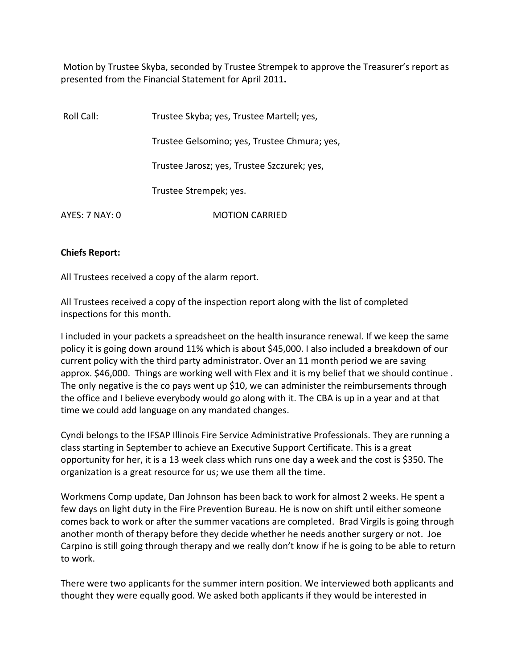Motion by Trustee Skyba, seconded by Trustee Strempek to approve the Treasurer's report as presented from the Financial Statement for April 2011**.**

| Roll Call:     | Trustee Skyba; yes, Trustee Martell; yes,    |
|----------------|----------------------------------------------|
|                | Trustee Gelsomino; yes, Trustee Chmura; yes, |
|                | Trustee Jarosz; yes, Trustee Szczurek; yes,  |
|                | Trustee Strempek; yes.                       |
| AYES: 7 NAY: 0 | <b>MOTION CARRIED</b>                        |

## **Chiefs Report:**

All Trustees received a copy of the alarm report.

All Trustees received a copy of the inspection report along with the list of completed inspections for this month.

I included in your packets a spreadsheet on the health insurance renewal. If we keep the same policy it is going down around 11% which is about \$45,000. I also included a breakdown of our current policy with the third party administrator. Over an 11 month period we are saving approx. \$46,000. Things are working well with Flex and it is my belief that we should continue . The only negative is the co pays went up \$10, we can administer the reimbursements through the office and I believe everybody would go along with it. The CBA is up in a year and at that time we could add language on any mandated changes.

Cyndi belongs to the IFSAP Illinois Fire Service Administrative Professionals. They are running a class starting in September to achieve an Executive Support Certificate. This is a great opportunity for her, it is a 13 week class which runs one day a week and the cost is \$350. The organization is a great resource for us; we use them all the time.

Workmens Comp update, Dan Johnson has been back to work for almost 2 weeks. He spent a few days on light duty in the Fire Prevention Bureau. He is now on shift until either someone comes back to work or after the summer vacations are completed. Brad Virgils is going through another month of therapy before they decide whether he needs another surgery or not. Joe Carpino is still going through therapy and we really don't know if he is going to be able to return to work.

There were two applicants for the summer intern position. We interviewed both applicants and thought they were equally good. We asked both applicants if they would be interested in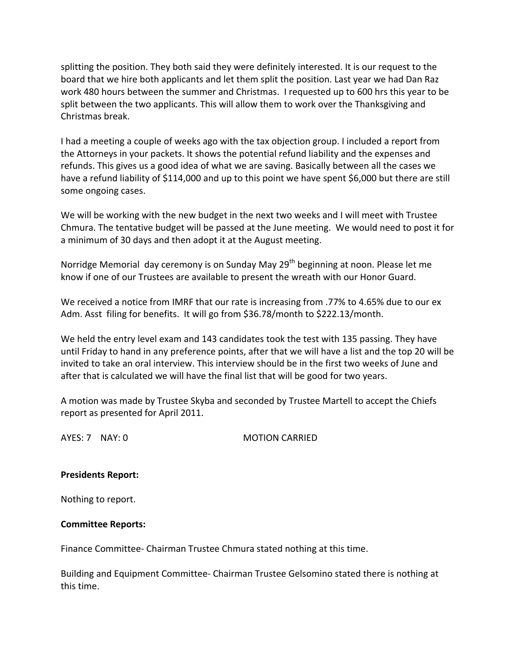splitting the position. They both said they were definitely interested. It is our request to the board that we hire both applicants and let them split the position. Last year we had Dan Raz work 480 hours between the summer and Christmas. I requested up to 600 hrs this year to be split between the two applicants. This will allow them to work over the Thanksgiving and Christmas break.

I had a meeting a couple of weeks ago with the tax objection group. I included a report from the Attorneys in your packets. It shows the potential refund liability and the expenses and refunds. This gives us a good idea of what we are saving. Basically between all the cases we have a refund liability of \$114,000 and up to this point we have spent \$6,000 but there are still some ongoing cases.

We will be working with the new budget in the next two weeks and I will meet with Trustee Chmura. The tentative budget will be passed at the June meeting. We would need to post it for a minimum of 30 days and then adopt it at the August meeting.

Norridge Memorial day ceremony is on Sunday May 29<sup>th</sup> beginning at noon. Please let me know if one of our Trustees are available to present the wreath with our Honor Guard.

We received a notice from IMRF that our rate is increasing from .77% to 4.65% due to our ex Adm. Asst filing for benefits. It will go from \$36.78/month to \$222.13/month.

We held the entry level exam and 143 candidates took the test with 135 passing. They have until Friday to hand in any preference points, after that we will have a list and the top 20 will be invited to take an oral interview. This interview should be in the first two weeks of June and after that is calculated we will have the final list that will be good for two years.

A motion was made by Trustee Skyba and seconded by Trustee Martell to accept the Chiefs report as presented for April 2011.

AYES: 7 NAY: 0 MOTION CARRIED

# **Presidents Report:**

Nothing to report.

# **Committee Reports:**

Finance Committee‐ Chairman Trustee Chmura stated nothing at this time.

Building and Equipment Committee‐ Chairman Trustee Gelsomino stated there is nothing at this time.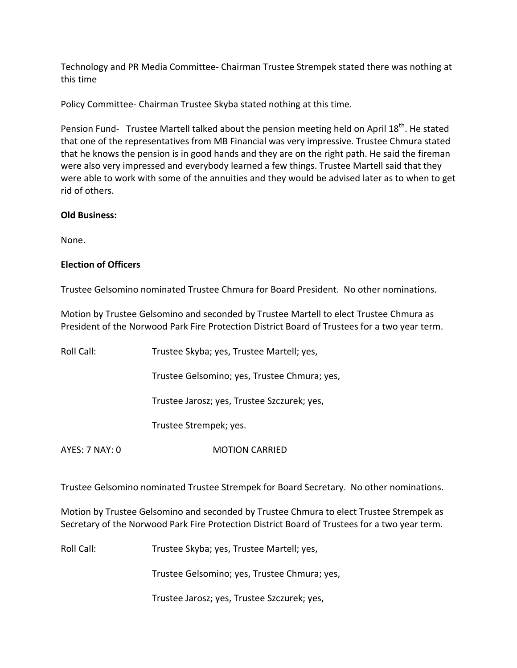Technology and PR Media Committee‐ Chairman Trustee Strempek stated there was nothing at this time

Policy Committee‐ Chairman Trustee Skyba stated nothing at this time.

Pension Fund- Trustee Martell talked about the pension meeting held on April 18<sup>th</sup>. He stated that one of the representatives from MB Financial was very impressive. Trustee Chmura stated that he knows the pension is in good hands and they are on the right path. He said the fireman were also very impressed and everybody learned a few things. Trustee Martell said that they were able to work with some of the annuities and they would be advised later as to when to get rid of others.

## **Old Business:**

None.

# **Election of Officers**

Trustee Gelsomino nominated Trustee Chmura for Board President. No other nominations.

Motion by Trustee Gelsomino and seconded by Trustee Martell to elect Trustee Chmura as President of the Norwood Park Fire Protection District Board of Trustees for a two year term.

| Roll Call:     | Trustee Skyba; yes, Trustee Martell; yes,    |
|----------------|----------------------------------------------|
|                | Trustee Gelsomino; yes, Trustee Chmura; yes, |
|                | Trustee Jarosz; yes, Trustee Szczurek; yes,  |
|                | Trustee Strempek; yes.                       |
| AYES: 7 NAY: 0 | <b>MOTION CARRIED</b>                        |

Trustee Gelsomino nominated Trustee Strempek for Board Secretary. No other nominations.

Motion by Trustee Gelsomino and seconded by Trustee Chmura to elect Trustee Strempek as Secretary of the Norwood Park Fire Protection District Board of Trustees for a two year term.

Roll Call: Trustee Skyba; yes, Trustee Martell; yes,

Trustee Gelsomino; yes, Trustee Chmura; yes,

Trustee Jarosz; yes, Trustee Szczurek; yes,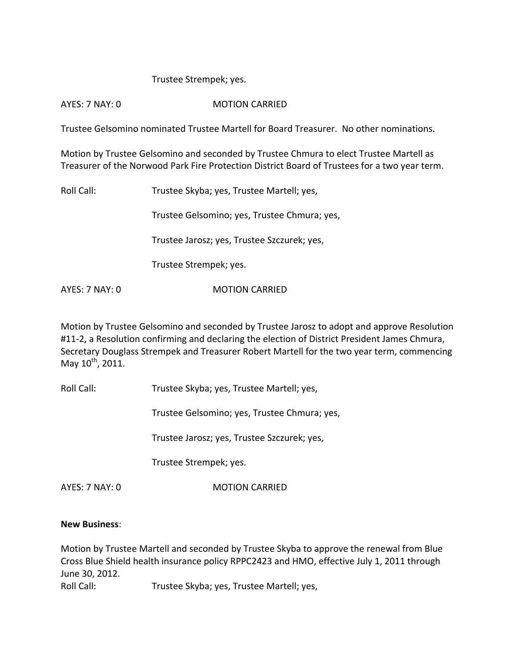#### Trustee Strempek; yes.

#### AYES: 7 NAY: 0 **MOTION CARRIED**

Trustee Gelsomino nominated Trustee Martell for Board Treasurer. No other nominations.

Motion by Trustee Gelsomino and seconded by Trustee Chmura to elect Trustee Martell as Treasurer of the Norwood Park Fire Protection District Board of Trustees for a two year term.

Roll Call: Trustee Skyba; yes, Trustee Martell; yes, Trustee Gelsomino; yes, Trustee Chmura; yes, Trustee Jarosz; yes, Trustee Szczurek; yes, Trustee Strempek; yes. AYES: 7 NAY: 0 **MOTION CARRIED** 

Motion by Trustee Gelsomino and seconded by Trustee Jarosz to adopt and approve Resolution #11-2, a Resolution confirming and declaring the election of District President James Chmura, Secretary Douglass Strempek and Treasurer Robert Martell for the two year term, commencing May 10<sup>th</sup>, 2011.

Roll Call: Trustee Skyba; yes, Trustee Martell; yes,

Trustee Gelsomino; yes, Trustee Chmura; yes,

Trustee Jarosz; yes, Trustee Szczurek; yes,

Trustee Strempek; yes.

AYES: 7 NAY: 0 **MOTION CARRIED** 

#### **New Business**:

Motion by Trustee Martell and seconded by Trustee Skyba to approve the renewal from Blue Cross Blue Shield health insurance policy RPPC2423 and HMO, effective July 1, 2011 through June 30, 2012.

Roll Call: Trustee Skyba; yes, Trustee Martell; yes,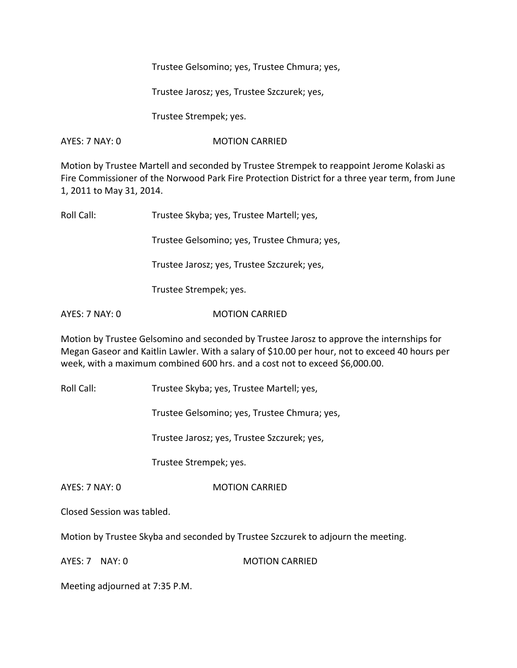Trustee Gelsomino; yes, Trustee Chmura; yes,

Trustee Jarosz; yes, Trustee Szczurek; yes,

Trustee Strempek; yes.

AYES: 7 NAY: 0 MOTION CARRIED

Motion by Trustee Martell and seconded by Trustee Strempek to reappoint Jerome Kolaski as Fire Commissioner of the Norwood Park Fire Protection District for a three year term, from June 1, 2011 to May 31, 2014.

| Roll Call: | Trustee Skyba; yes, Trustee Martell; yes,    |
|------------|----------------------------------------------|
|            | Trustee Gelsomino; yes, Trustee Chmura; yes, |
|            | Trustee Jarosz; yes, Trustee Szczurek; yes,  |
|            | Trustee Strempek; yes.                       |
|            |                                              |

Motion by Trustee Gelsomino and seconded by Trustee Jarosz to approve the internships for Megan Gaseor and Kaitlin Lawler. With a salary of \$10.00 per hour, not to exceed 40 hours per week, with a maximum combined 600 hrs. and a cost not to exceed \$6,000.00.

Roll Call: Trustee Skyba; yes, Trustee Martell; yes,

AYES: 7 NAY: 0 **MOTION CARRIED** 

Trustee Gelsomino; yes, Trustee Chmura; yes,

Trustee Jarosz; yes, Trustee Szczurek; yes,

Trustee Strempek; yes.

AYES: 7 NAY: 0 MOTION CARRIED

Closed Session was tabled.

Motion by Trustee Skyba and seconded by Trustee Szczurek to adjourn the meeting.

AYES: 7 NAY: 0 MOTION CARRIED

Meeting adjourned at 7:35 P.M.